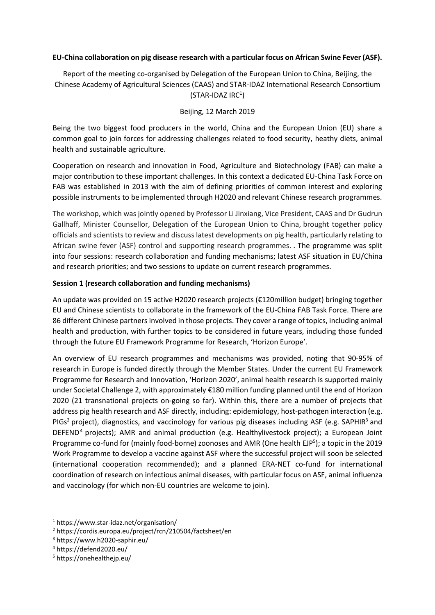### **EU-China collaboration on pig disease research with a particular focus on African Swine Fever (ASF).**

Report of the meeting co-organised by Delegation of the European Union to China, Beijing, the Chinese Academy of Agricultural Sciences (CAAS) and STAR-IDAZ International Research Consortium  $(STAR-IDAZ IRC<sup>1</sup>)$ 

#### Beijing, 12 March 2019

Being the two biggest food producers in the world, China and the European Union (EU) share a common goal to join forces for addressing challenges related to food security, heathy diets, animal health and sustainable agriculture.

Cooperation on research and innovation in Food, Agriculture and Biotechnology (FAB) can make a major contribution to these important challenges. In this context a dedicated EU-China Task Force on FAB was established in 2013 with the aim of defining priorities of common interest and exploring possible instruments to be implemented through H2020 and relevant Chinese research programmes.

The workshop, which was jointly opened by Professor Li Jinxiang, Vice President, CAAS and Dr Gudrun Gallhaff, Minister Counsellor, Delegation of the European Union to China, brought together policy officials and scientists to review and discuss latest developments on pig health, particularly relating to African swine fever (ASF) control and supporting research programmes. . The programme was split into four sessions: research collaboration and funding mechanisms; latest ASF situation in EU/China and research priorities; and two sessions to update on current research programmes.

### **Session 1 (research collaboration and funding mechanisms)**

An update was provided on 15 active H2020 research projects (€120million budget) bringing together EU and Chinese scientists to collaborate in the framework of the EU-China FAB Task Force. There are 86 different Chinese partners involved in those projects. They cover a range of topics, including animal health and production, with further topics to be considered in future years, including those funded through the future EU Framework Programme for Research, 'Horizon Europe'.

An overview of EU research programmes and mechanisms was provided, noting that 90-95% of research in Europe is funded directly through the Member States. Under the current EU Framework Programme for Research and Innovation, 'Horizon 2020', animal health research is supported mainly under Societal Challenge 2, with approximately €180 million funding planned until the end of Horizon 2020 (21 transnational projects on-going so far). Within this, there are a number of projects that address pig health research and ASF directly, including: epidemiology, host-pathogen interaction (e.g. PIGs<sup>2</sup> project), diagnostics, and vaccinology for various pig diseases including ASF (e.g. SAPHIR<sup>3</sup> and DEFEND<sup>4</sup> projects); AMR and animal production (e.g. Healthylivestock project); a European Joint Programme co-fund for (mainly food-borne) zoonoses and AMR (One health EJP<sup>5</sup>); a topic in the 2019 Work Programme to develop a vaccine against ASF where the successful project will soon be selected (international cooperation recommended); and a planned ERA-NET co-fund for international coordination of research on infectious animal diseases, with particular focus on ASF, animal influenza and vaccinology (for which non-EU countries are welcome to join).

 $\overline{a}$ 

<sup>1</sup> https://www.star-idaz.net/organisation/

<sup>2</sup> https://cordis.europa.eu/project/rcn/210504/factsheet/en

<sup>3</sup> https://www.h2020-saphir.eu/

<sup>4</sup> https://defend2020.eu/

<sup>5</sup> https://onehealthejp.eu/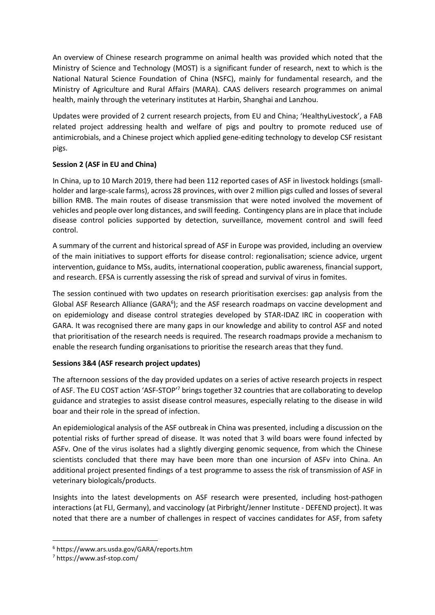An overview of Chinese research programme on animal health was provided which noted that the Ministry of Science and Technology (MOST) is a significant funder of research, next to which is the National Natural Science Foundation of China (NSFC), mainly for fundamental research, and the Ministry of Agriculture and Rural Affairs (MARA). CAAS delivers research programmes on animal health, mainly through the veterinary institutes at Harbin, Shanghai and Lanzhou.

Updates were provided of 2 current research projects, from EU and China; 'HealthyLivestock', a FAB related project addressing health and welfare of pigs and poultry to promote reduced use of antimicrobials, and a Chinese project which applied gene-editing technology to develop CSF resistant pigs.

# **Session 2 (ASF in EU and China)**

In China, up to 10 March 2019, there had been 112 reported cases of ASF in livestock holdings (smallholder and large-scale farms), across 28 provinces, with over 2 million pigs culled and losses of several billion RMB. The main routes of disease transmission that were noted involved the movement of vehicles and people over long distances, and swill feeding. Contingency plans are in place that include disease control policies supported by detection, surveillance, movement control and swill feed control.

A summary of the current and historical spread of ASF in Europe was provided, including an overview of the main initiatives to support efforts for disease control: regionalisation; science advice, urgent intervention, guidance to MSs, audits, international cooperation, public awareness, financial support, and research. EFSA is currently assessing the risk of spread and survival of virus in fomites.

The session continued with two updates on research prioritisation exercises: gap analysis from the Global ASF Research Alliance (GARA<sup>6</sup>); and the ASF research roadmaps on vaccine development and on epidemiology and disease control strategies developed by STAR-IDAZ IRC in cooperation with GARA. It was recognised there are many gaps in our knowledge and ability to control ASF and noted that prioritisation of the research needs is required. The research roadmaps provide a mechanism to enable the research funding organisations to prioritise the research areas that they fund.

## **Sessions 3&4 (ASF research project updates)**

The afternoon sessions of the day provided updates on a series of active research projects in respect of ASF. The EU COST action 'ASF-STOP'<sup>7</sup> brings together 32 countries that are collaborating to develop guidance and strategies to assist disease control measures, especially relating to the disease in wild boar and their role in the spread of infection.

An epidemiological analysis of the ASF outbreak in China was presented, including a discussion on the potential risks of further spread of disease. It was noted that 3 wild boars were found infected by ASFv. One of the virus isolates had a slightly diverging genomic sequence, from which the Chinese scientists concluded that there may have been more than one incursion of ASFv into China. An additional project presented findings of a test programme to assess the risk of transmission of ASF in veterinary biologicals/products.

Insights into the latest developments on ASF research were presented, including host-pathogen interactions (at FLI, Germany), and vaccinology (at Pirbright/Jenner Institute - DEFEND project). It was noted that there are a number of challenges in respect of vaccines candidates for ASF, from safety

1

<sup>6</sup> https://www.ars.usda.gov/GARA/reports.htm

<sup>7</sup> https://www.asf-stop.com/